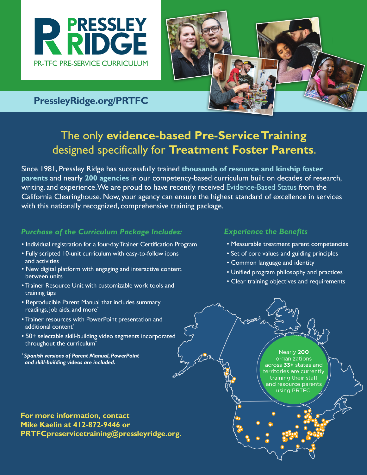



### **PressleyRidge.org/PRTFC**

## The only **evidence-based Pre-Service Training** designed specifically for **Treatment Foster Parents**.

Since 1981, Pressley Ridge has successfully trained **thousands of resource and kinship foster parents** and nearly **200 agencies** in our competency-based curriculum built on decades of research, writing, and experience. We are proud to have recently received Evidence-Based Status from the California Clearinghouse. Now, your agency can ensure the highest standard of excellence in services with this nationally recognized, comprehensive training package.

#### *Purchase of the Curriculum Package Includes:*

- Individual registration for a four-day Trainer Certification Program
- Fully scripted 10-unit curriculum with easy-to-follow icons and activities
- New digital platform with engaging and interactive content between units
- Trainer Resource Unit with customizable work tools and training tips
- Reproducible Parent Manual that includes summary readings, job aids, and more<sup>\*</sup>
- Trainer resources with PowerPoint presentation and additional content<sup>\*</sup>
- 50+ selectable skill-building video segments incorporated throughout the curriculum<sup>\*</sup>
- *\* Spanish versions of Parent Manual, PowerPoint and skill-building videos are included.*

*Experience the Benefits*

- Measurable treatment parent competencies
- Set of core values and guiding principles
- Common language and identity
- Unified program philosophy and practices
- Clear training objectives and requirements

Nearly 200 organizations across 33+ states and territories are currently training their staff and resource parents using PRTFC.

**For more information, contact Mike Kaelin at 412-872-9446 or PRTFCpreservicetraining@pressleyridge.org.**